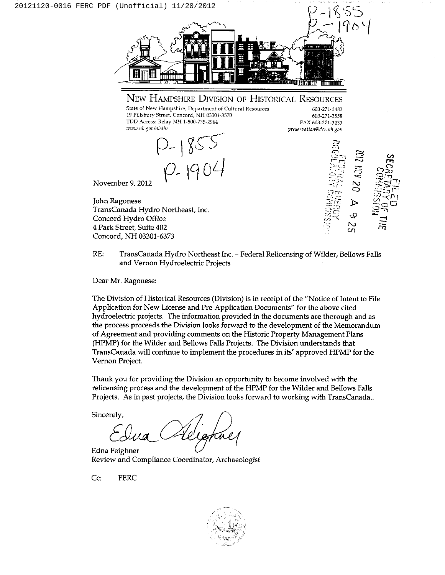

 $RE:$ TransCanada Hydro Northeast Inc. - Federal Relicensing of Wilder, Bellows Falls and Vernon Hydroelectric Projects

Dear Mr. Ragonese:

Concord. NH 03301-6373

The Division of Historical Resources (Division) is in receipt of the "Notice of Intent to File Application for New License and Pre-Application Documents" for the above cited hydroelectric projects. The information provided in the documents are thorough and as the process proceeds the Division looks forward to the development of the Memorandum of Agreement and providing comments on the Historic Property Management Plans (HPMP) for the Wilder and Bellows Falls Projects. The Division understands that TransCanada will continue to implement the procedures in its' approved HPMP for the Vernon Project.

Thank you for providing the Division an opportunity to become involved with the relicensing process and the development of the HPMP for the Wilder and Bellows Falls Projects. As in past projects, the Division looks forward to working with TransCanada..

Sincerely,

Edna Feighner Review and Compliance Coordinator, Archaeologist

Cc: **FERC**